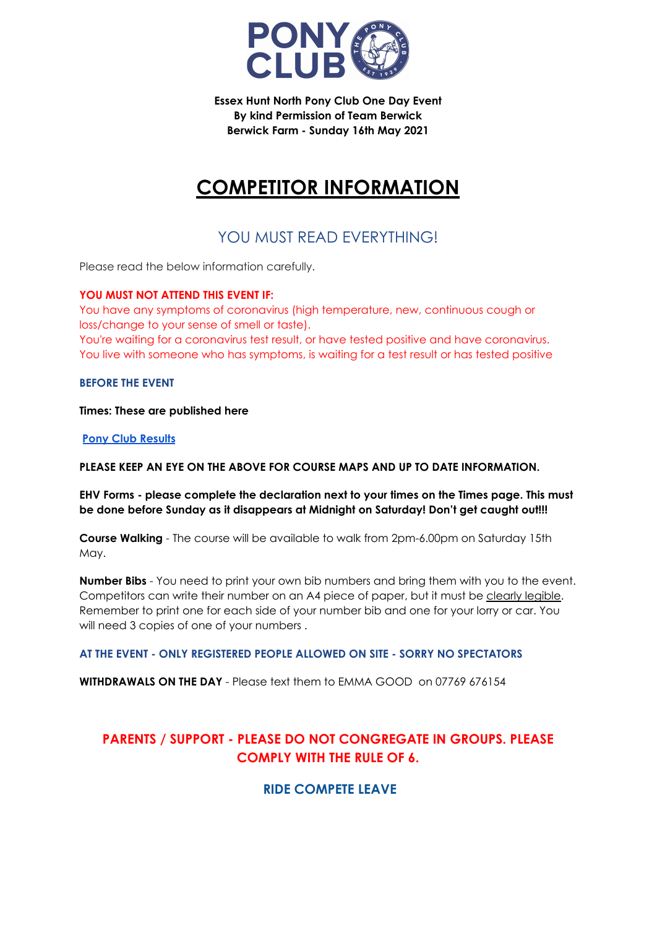

**Essex Hunt North Pony Club One Day Event By kind Permission of Team Berwick Berwick Farm - Sunday 16th May 2021**

# **COMPETITOR INFORMATION**

# YOU MUST READ EVERYTHING!

Please read the below information carefully.

## **YOU MUST NOT ATTEND THIS EVENT IF:**

You have any symptoms of coronavirus (high temperature, new, continuous cough or loss/change to your sense of smell or taste). You're waiting for a coronavirus test result, or have tested positive and have coronavirus.

You live with someone who has symptoms, is waiting for a test result or has tested positive

**BEFORE THE EVENT**

**Times: These are published here**

**Pony Club [Results](https://www.ponyclubresults.co.uk/Events/event.php?eventid=207)**

**PLEASE KEEP AN EYE ON THE ABOVE FOR COURSE MAPS AND UP TO DATE INFORMATION.**

**EHV Forms - please complete the declaration next to your times on the Times page. This must be done before Sunday as it disappears at Midnight on Saturday! Don't get caught out!!!**

**Course Walking** - The course will be available to walk from 2pm-6.00pm on Saturday 15th May.

**Number Bibs** - You need to print your own bib numbers and bring them with you to the event. Competitors can write their number on an A4 piece of paper, but it must be clearly legible. Remember to print one for each side of your number bib and one for your lorry or car. You will need 3 copies of one of your numbers .

## **AT THE EVENT - ONLY REGISTERED PEOPLE ALLOWED ON SITE - SORRY NO SPECTATORS**

**WITHDRAWALS ON THE DAY** - Please text them to EMMA GOOD on 07769 676154

# **PARENTS / SUPPORT - PLEASE DO NOT CONGREGATE IN GROUPS. PLEASE COMPLY WITH THE RULE OF 6.**

## **RIDE COMPETE LEAVE**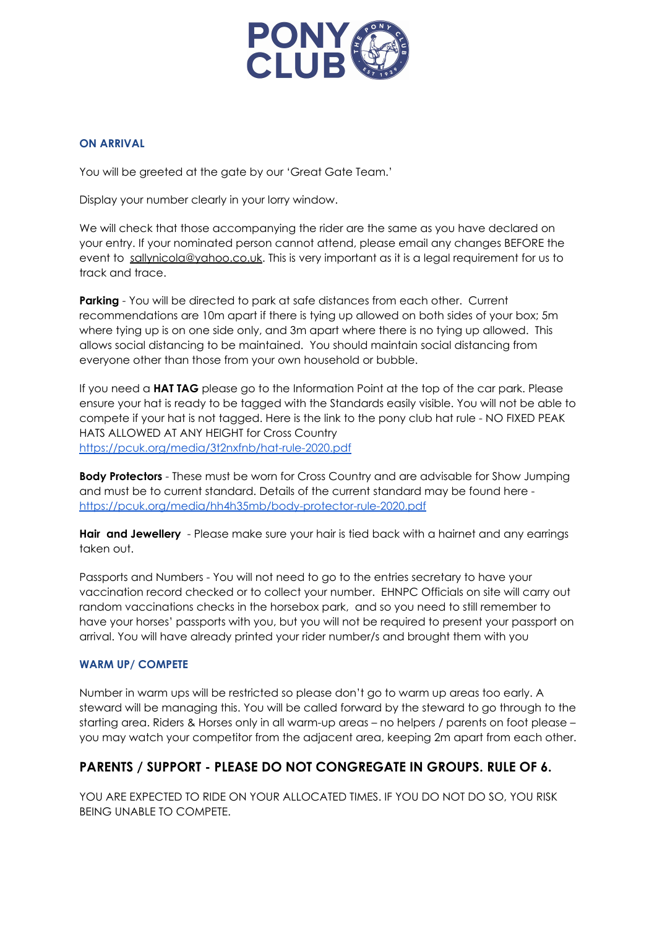

#### **ON ARRIVAL**

You will be greeted at the gate by our 'Great Gate Team.'

Display your number clearly in your lorry window.

We will check that those accompanying the rider are the same as you have declared on your entry. If your nominated person cannot attend, please email any changes BEFORE the event to [sallynicola@yahoo.co.uk.](mailto:sallynicola@yahoo.co.uk) This is very important as it is a legal requirement for us to track and trace.

**Parking** - You will be directed to park at safe distances from each other. Current recommendations are 10m apart if there is tying up allowed on both sides of your box; 5m where tying up is on one side only, and 3m apart where there is no tying up allowed. This allows social distancing to be maintained. You should maintain social distancing from everyone other than those from your own household or bubble.

If you need a **HAT TAG** please go to the Information Point at the top of the car park. Please ensure your hat is ready to be tagged with the Standards easily visible. You will not be able to compete if your hat is not tagged. Here is the link to the pony club hat rule - NO FIXED PEAK HATS ALLOWED AT ANY HEIGHT for Cross Country <https://pcuk.org/media/3t2nxfnb/hat-rule-2020.pdf>

**Body Protectors** - These must be worn for Cross Country and are advisable for Show Jumping and must be to current standard. Details of the current standard may be found here <https://pcuk.org/media/hh4h35mb/body-protector-rule-2020.pdf>

**Hair and Jewellery** - Please make sure your hair is tied back with a hairnet and any earrings taken out.

Passports and Numbers - You will not need to go to the entries secretary to have your vaccination record checked or to collect your number. EHNPC Officials on site will carry out random vaccinations checks in the horsebox park, and so you need to still remember to have your horses' passports with you, but you will not be required to present your passport on arrival. You will have already printed your rider number/s and brought them with you

#### **WARM UP/ COMPETE**

Number in warm ups will be restricted so please don't go to warm up areas too early. A steward will be managing this. You will be called forward by the steward to go through to the starting area. Riders & Horses only in all warm-up areas – no helpers / parents on foot please – you may watch your competitor from the adjacent area, keeping 2m apart from each other.

## **PARENTS / SUPPORT - PLEASE DO NOT CONGREGATE IN GROUPS. RULE OF 6.**

YOU ARE EXPECTED TO RIDE ON YOUR ALLOCATED TIMES. IF YOU DO NOT DO SO, YOU RISK BEING UNABLE TO COMPETE.